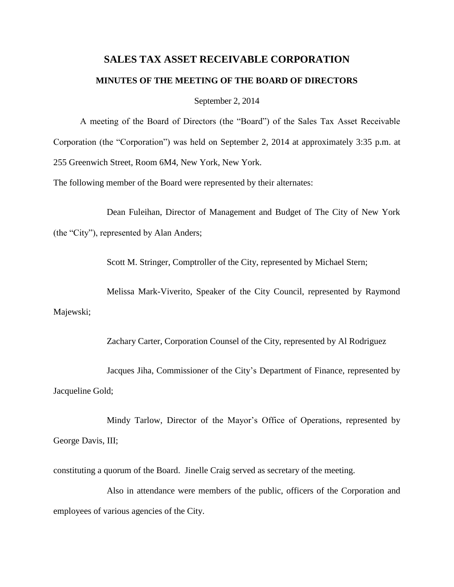# **SALES TAX ASSET RECEIVABLE CORPORATION MINUTES OF THE MEETING OF THE BOARD OF DIRECTORS**

September 2, 2014

A meeting of the Board of Directors (the "Board") of the Sales Tax Asset Receivable Corporation (the "Corporation") was held on September 2, 2014 at approximately 3:35 p.m. at 255 Greenwich Street, Room 6M4, New York, New York.

The following member of the Board were represented by their alternates:

Dean Fuleihan, Director of Management and Budget of The City of New York (the "City"), represented by Alan Anders;

Scott M. Stringer, Comptroller of the City, represented by Michael Stern;

Melissa Mark-Viverito, Speaker of the City Council, represented by Raymond Majewski;

Zachary Carter, Corporation Counsel of the City, represented by Al Rodriguez

Jacques Jiha, Commissioner of the City's Department of Finance, represented by Jacqueline Gold;

Mindy Tarlow, Director of the Mayor's Office of Operations, represented by George Davis, III;

constituting a quorum of the Board. Jinelle Craig served as secretary of the meeting.

Also in attendance were members of the public, officers of the Corporation and employees of various agencies of the City.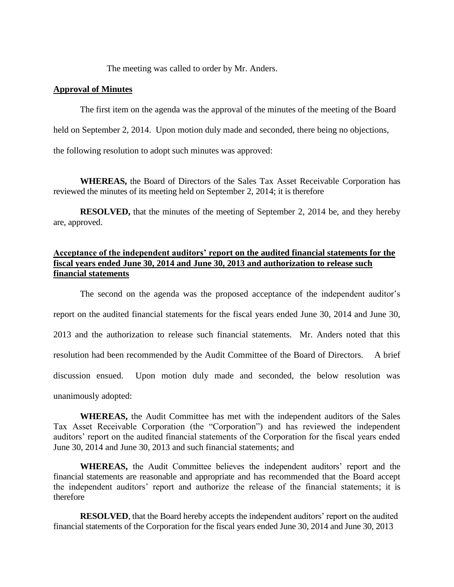The meeting was called to order by Mr. Anders.

#### **Approval of Minutes**

The first item on the agenda was the approval of the minutes of the meeting of the Board

held on September 2, 2014. Upon motion duly made and seconded, there being no objections,

the following resolution to adopt such minutes was approved:

**WHEREAS,** the Board of Directors of the Sales Tax Asset Receivable Corporation has reviewed the minutes of its meeting held on September 2, 2014; it is therefore

**RESOLVED,** that the minutes of the meeting of September 2, 2014 be, and they hereby are, approved.

# **Acceptance of the independent auditors' report on the audited financial statements for the fiscal years ended June 30, 2014 and June 30, 2013 and authorization to release such financial statements**

The second on the agenda was the proposed acceptance of the independent auditor's report on the audited financial statements for the fiscal years ended June 30, 2014 and June 30, 2013 and the authorization to release such financial statements. Mr. Anders noted that this resolution had been recommended by the Audit Committee of the Board of Directors. A brief discussion ensued. Upon motion duly made and seconded, the below resolution was unanimously adopted:

**WHEREAS,** the Audit Committee has met with the independent auditors of the Sales Tax Asset Receivable Corporation (the "Corporation") and has reviewed the independent auditors' report on the audited financial statements of the Corporation for the fiscal years ended June 30, 2014 and June 30, 2013 and such financial statements; and

**WHEREAS,** the Audit Committee believes the independent auditors' report and the financial statements are reasonable and appropriate and has recommended that the Board accept the independent auditors' report and authorize the release of the financial statements; it is therefore

**RESOLVED**, that the Board hereby accepts the independent auditors' report on the audited financial statements of the Corporation for the fiscal years ended June 30, 2014 and June 30, 2013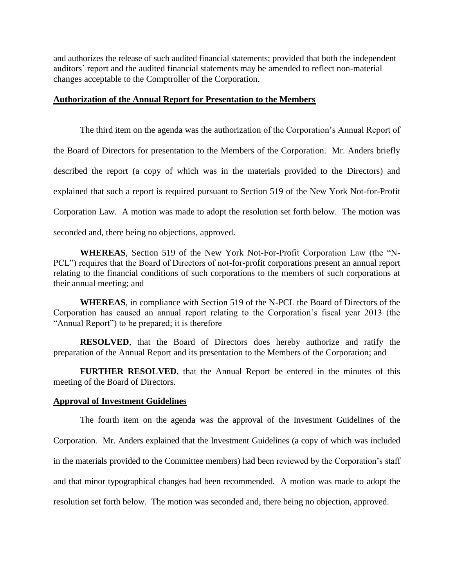and authorizes the release of such audited financial statements; provided that both the independent auditors' report and the audited financial statements may be amended to reflect non-material changes acceptable to the Comptroller of the Corporation.

#### **Authorization of the Annual Report for Presentation to the Members**

The third item on the agenda was the authorization of the Corporation's Annual Report of the Board of Directors for presentation to the Members of the Corporation. Mr. Anders briefly described the report (a copy of which was in the materials provided to the Directors) and explained that such a report is required pursuant to Section 519 of the New York Not-for-Profit Corporation Law. A motion was made to adopt the resolution set forth below. The motion was seconded and, there being no objections, approved.

**WHEREAS**, Section 519 of the New York Not-For-Profit Corporation Law (the "N-PCL") requires that the Board of Directors of not-for-profit corporations present an annual report relating to the financial conditions of such corporations to the members of such corporations at their annual meeting; and

**WHEREAS**, in compliance with Section 519 of the N-PCL the Board of Directors of the Corporation has caused an annual report relating to the Corporation's fiscal year 2013 (the "Annual Report") to be prepared; it is therefore

**RESOLVED**, that the Board of Directors does hereby authorize and ratify the preparation of the Annual Report and its presentation to the Members of the Corporation; and

**FURTHER RESOLVED**, that the Annual Report be entered in the minutes of this meeting of the Board of Directors.

#### **Approval of Investment Guidelines**

The fourth item on the agenda was the approval of the Investment Guidelines of the Corporation. Mr. Anders explained that the Investment Guidelines (a copy of which was included in the materials provided to the Committee members) had been reviewed by the Corporation's staff and that minor typographical changes had been recommended. A motion was made to adopt the resolution set forth below. The motion was seconded and, there being no objection, approved.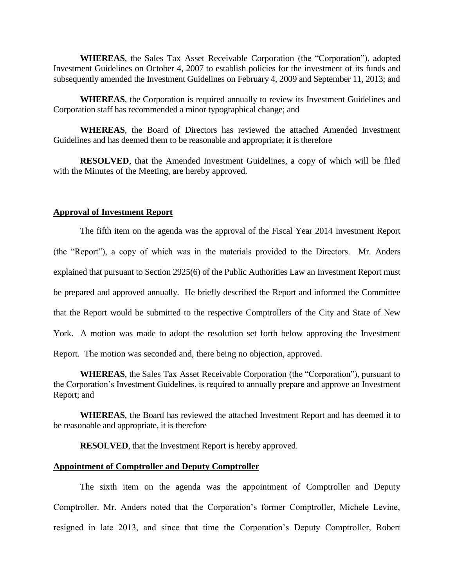**WHEREAS**, the Sales Tax Asset Receivable Corporation (the "Corporation"), adopted Investment Guidelines on October 4, 2007 to establish policies for the investment of its funds and subsequently amended the Investment Guidelines on February 4, 2009 and September 11, 2013; and

**WHEREAS**, the Corporation is required annually to review its Investment Guidelines and Corporation staff has recommended a minor typographical change; and

**WHEREAS**, the Board of Directors has reviewed the attached Amended Investment Guidelines and has deemed them to be reasonable and appropriate; it is therefore

**RESOLVED**, that the Amended Investment Guidelines, a copy of which will be filed with the Minutes of the Meeting, are hereby approved.

### **Approval of Investment Report**

The fifth item on the agenda was the approval of the Fiscal Year 2014 Investment Report (the "Report"), a copy of which was in the materials provided to the Directors. Mr. Anders explained that pursuant to Section 2925(6) of the Public Authorities Law an Investment Report must be prepared and approved annually. He briefly described the Report and informed the Committee that the Report would be submitted to the respective Comptrollers of the City and State of New York. A motion was made to adopt the resolution set forth below approving the Investment Report. The motion was seconded and, there being no objection, approved.

**WHEREAS**, the Sales Tax Asset Receivable Corporation (the "Corporation"), pursuant to the Corporation's Investment Guidelines, is required to annually prepare and approve an Investment Report; and

**WHEREAS**, the Board has reviewed the attached Investment Report and has deemed it to be reasonable and appropriate, it is therefore

**RESOLVED**, that the Investment Report is hereby approved.

#### **Appointment of Comptroller and Deputy Comptroller**

The sixth item on the agenda was the appointment of Comptroller and Deputy Comptroller. Mr. Anders noted that the Corporation's former Comptroller, Michele Levine, resigned in late 2013, and since that time the Corporation's Deputy Comptroller, Robert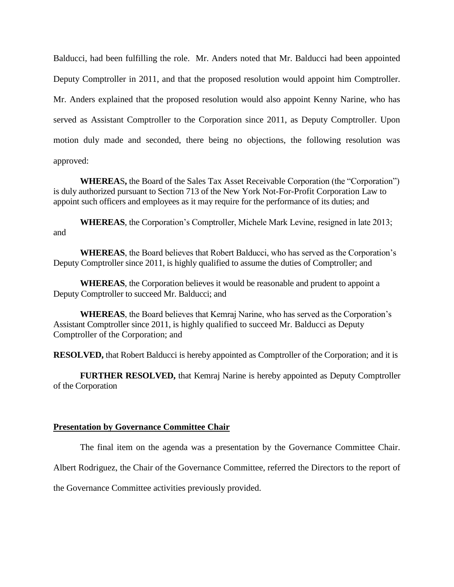Balducci, had been fulfilling the role. Mr. Anders noted that Mr. Balducci had been appointed Deputy Comptroller in 2011, and that the proposed resolution would appoint him Comptroller. Mr. Anders explained that the proposed resolution would also appoint Kenny Narine, who has served as Assistant Comptroller to the Corporation since 2011, as Deputy Comptroller. Upon motion duly made and seconded, there being no objections, the following resolution was approved:

**WHEREA**S**,** the Board of the Sales Tax Asset Receivable Corporation (the "Corporation") is duly authorized pursuant to Section 713 of the New York Not-For-Profit Corporation Law to appoint such officers and employees as it may require for the performance of its duties; and

**WHEREAS**, the Corporation's Comptroller, Michele Mark Levine, resigned in late 2013; and

**WHEREAS**, the Board believes that Robert Balducci, who has served as the Corporation's Deputy Comptroller since 2011, is highly qualified to assume the duties of Comptroller; and

**WHEREAS**, the Corporation believes it would be reasonable and prudent to appoint a Deputy Comptroller to succeed Mr. Balducci; and

**WHEREAS**, the Board believes that Kemraj Narine, who has served as the Corporation's Assistant Comptroller since 2011, is highly qualified to succeed Mr. Balducci as Deputy Comptroller of the Corporation; and

**RESOLVED,** that Robert Balducci is hereby appointed as Comptroller of the Corporation; and it is

**FURTHER RESOLVED,** that Kemraj Narine is hereby appointed as Deputy Comptroller of the Corporation

## **Presentation by Governance Committee Chair**

The final item on the agenda was a presentation by the Governance Committee Chair.

Albert Rodriguez, the Chair of the Governance Committee, referred the Directors to the report of

the Governance Committee activities previously provided.